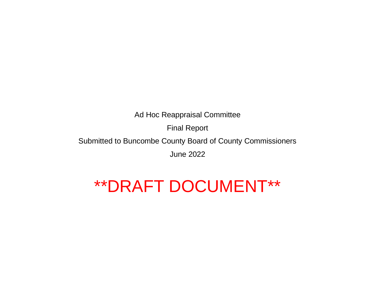Final Report

Submitted to Buncombe County Board of County Commissioners

June 2022

# \*\*DRAFT DOCUMENT\*\*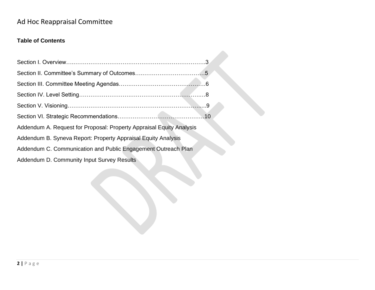#### **Table of Contents**

| Addendum A. Request for Proposal: Property Appraisal Equity Analysis |  |
|----------------------------------------------------------------------|--|
| Addendum B. Syneva Report: Property Appraisal Equity Analysis        |  |
| Addendum C. Communication and Public Engagement Outreach Plan        |  |
| Addendum D. Community Input Survey Results                           |  |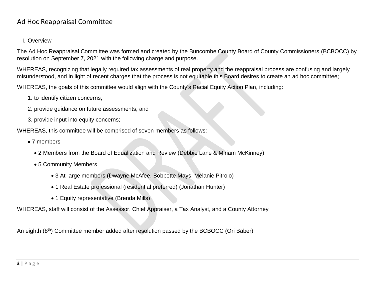#### I. Overview

The Ad Hoc Reappraisal Committee was formed and created by the Buncombe County Board of County Commissioners (BCBOCC) by resolution on September 7, 2021 with the following charge and purpose.

WHEREAS, recognizing that legally required tax assessments of real property and the reappraisal process are confusing and largely misunderstood, and in light of recent charges that the process is not equitable this Board desires to create an ad hoc committee;

WHEREAS, the goals of this committee would align with the County's Racial Equity Action Plan, including:

- 1. to identify citizen concerns,
- 2. provide guidance on future assessments, and
- 3. provide input into equity concerns;

WHEREAS, this committee will be comprised of seven members as follows:

- 7 members
	- 2 Members from the Board of Equalization and Review (Debbie Lane & Miriam McKinney)
	- 5 Community Members
		- 3 At-large members (Dwayne McAfee, Bobbette Mays, Melanie Pitrolo)
		- 1 Real Estate professional (residential preferred) (Jonathan Hunter)
		- 1 Equity representative (Brenda Mills)

WHEREAS, staff will consist of the Assessor, Chief Appraiser, a Tax Analyst, and a County Attorney

An eighth (8<sup>th</sup>) Committee member added after resolution passed by the BCBOCC (Ori Baber)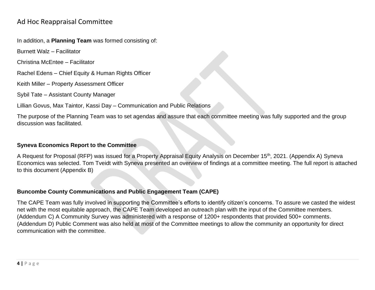In addition, a **Planning Team** was formed consisting of:

Burnett Walz – Facilitator

Christina McEntee – Facilitator

Rachel Edens – Chief Equity & Human Rights Officer

Keith Miller – Property Assessment Officer

Sybil Tate – Assistant County Manager

Lillian Govus, Max Taintor, Kassi Day – Communication and Public Relations

The purpose of the Planning Team was to set agendas and assure that each committee meeting was fully supported and the group discussion was facilitated.

#### **Syneva Economics Report to the Committee**

A Request for Proposal (RFP) was issued for a Property Appraisal Equity Analysis on December 15<sup>th</sup>, 2021. (Appendix A) Syneva Economics was selected. Tom Tveidt with Syneva presented an overview of findings at a committee meeting. The full report is attached to this document (Appendix B)

#### **Buncombe County Communications and Public Engagement Team (CAPE)**

The CAPE Team was fully involved in supporting the Committee's efforts to identify citizen's concerns. To assure we casted the widest net with the most equitable approach, the CAPE Team developed an outreach plan with the input of the Committee members. (Addendum C) A Community Survey was administered with a response of 1200+ respondents that provided 500+ comments. (Addendum D) Public Comment was also held at most of the Committee meetings to allow the community an opportunity for direct communication with the committee.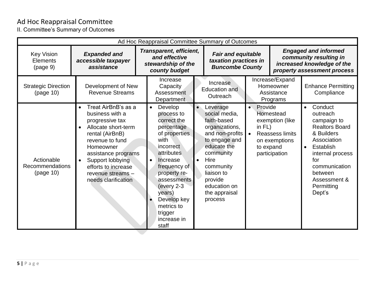II. Committee's Summary of Outcomes

| Ad Hoc Reappraisal Committee Summary of Outcomes  |                                                                                                                                                                                                                                                                             |                                                                                 |                                                                                                                                                                                                                                                                                 |  |                                                                                                                                                                                                                      |                                                |                                                                                                                    |                        |                                                                                                                                                                                                      |
|---------------------------------------------------|-----------------------------------------------------------------------------------------------------------------------------------------------------------------------------------------------------------------------------------------------------------------------------|---------------------------------------------------------------------------------|---------------------------------------------------------------------------------------------------------------------------------------------------------------------------------------------------------------------------------------------------------------------------------|--|----------------------------------------------------------------------------------------------------------------------------------------------------------------------------------------------------------------------|------------------------------------------------|--------------------------------------------------------------------------------------------------------------------|------------------------|------------------------------------------------------------------------------------------------------------------------------------------------------------------------------------------------------|
| <b>Key Vision</b><br><b>Elements</b><br>(page 9)  | <b>Expanded and</b><br>accessible taxpayer<br>assistance                                                                                                                                                                                                                    | Transparent, efficient,<br>and effective<br>stewardship of the<br>county budget |                                                                                                                                                                                                                                                                                 |  | <b>Fair and equitable</b><br>taxation practices in<br><b>Buncombe County</b>                                                                                                                                         |                                                | <b>Engaged and informed</b><br>community resulting in<br>increased knowledge of the<br>property assessment process |                        |                                                                                                                                                                                                      |
| <b>Strategic Direction</b><br>(page 10)           | Development of New<br><b>Revenue Streams</b>                                                                                                                                                                                                                                |                                                                                 | Increase<br>Capacity<br>Assessment<br><b>Department</b>                                                                                                                                                                                                                         |  | Increase<br><b>Education and</b><br>Outreach                                                                                                                                                                         |                                                | Increase/Expand<br>Homeowner<br>Assistance<br>Programs                                                             |                        | <b>Enhance Permitting</b><br>Compliance                                                                                                                                                              |
| Actionable<br><b>Recommendations</b><br>(page 10) | Treat AirBnB's as a<br>business with a<br>progressive tax<br>Allocate short-term<br>$\bullet$<br>rental (AirBnB)<br>revenue to fund<br>Homeowner<br>assistance programs<br>Support lobbying<br>$\bullet$<br>efforts to increase<br>revenue streams -<br>needs clarification |                                                                                 | Develop<br>$\bullet$<br>process to<br>correct the<br>percentage<br>of properties<br>with<br>incorrect<br><b>attributes</b><br>Increase<br>frequency of<br>property re-<br>assessments<br>(every $2-3$<br>years)<br>Develop key<br>metrics to<br>trigger<br>increase in<br>staff |  | Leverage<br>social media,<br>faith-based<br>organizations,<br>and non-profits<br>to engage and<br>educate the<br>community<br>Hire<br>community<br>liaison to<br>provide<br>education on<br>the appraisal<br>process | Provide<br>$\bullet$<br>in $FL$ )<br>to expand | Homestead<br>exemption (like<br><b>Reassess limits</b><br>on exemptions<br>participation                           | $\bullet$<br>$\bullet$ | Conduct<br>outreach<br>campaign to<br><b>Realtors Board</b><br>& Builders<br>Association<br>Establish<br>internal process<br>for<br>communication<br>between<br>Assessment &<br>Permitting<br>Dept's |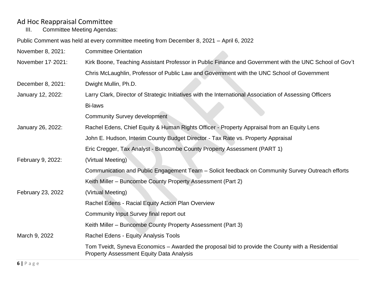# Ad Hoc Reappraisal Committee<br>III. Committee Meeting Agendas

Committee Meeting Agendas:

Public Comment was held at every committee meeting from December 8, 2021 – April 6, 2022

| November 8, 2021: | <b>Committee Orientation</b>                                                                                                                        |  |  |  |  |  |
|-------------------|-----------------------------------------------------------------------------------------------------------------------------------------------------|--|--|--|--|--|
| November 17 2021: | Kirk Boone, Teaching Assistant Professor in Public Finance and Government with the UNC School of Gov't                                              |  |  |  |  |  |
|                   | Chris McLaughlin, Professor of Public Law and Government with the UNC School of Government                                                          |  |  |  |  |  |
| December 8, 2021: | Dwight Mullin, Ph.D.                                                                                                                                |  |  |  |  |  |
| January 12, 2022: | Larry Clark, Director of Strategic Initiatives with the International Association of Assessing Officers                                             |  |  |  |  |  |
|                   | <b>Bi-laws</b>                                                                                                                                      |  |  |  |  |  |
|                   | <b>Community Survey development</b>                                                                                                                 |  |  |  |  |  |
| January 26, 2022: | Rachel Edens, Chief Equity & Human Rights Officer - Property Appraisal from an Equity Lens                                                          |  |  |  |  |  |
|                   | John E. Hudson, Interim County Budget Director - Tax Rate vs. Property Appraisal                                                                    |  |  |  |  |  |
|                   | Eric Cregger, Tax Analyst - Buncombe County Property Assessment (PART 1)                                                                            |  |  |  |  |  |
| February 9, 2022: | (Virtual Meeting)                                                                                                                                   |  |  |  |  |  |
|                   | Communication and Public Engagement Team - Solicit feedback on Community Survey Outreach efforts                                                    |  |  |  |  |  |
|                   | Keith Miller - Buncombe County Property Assessment (Part 2)                                                                                         |  |  |  |  |  |
| February 23, 2022 | (Virtual Meeting)                                                                                                                                   |  |  |  |  |  |
|                   | Rachel Edens - Racial Equity Action Plan Overview                                                                                                   |  |  |  |  |  |
|                   | Community Input Survey final report out                                                                                                             |  |  |  |  |  |
|                   | Keith Miller – Buncombe County Property Assessment (Part 3)                                                                                         |  |  |  |  |  |
| March 9, 2022     | Rachel Edens - Equity Analysis Tools                                                                                                                |  |  |  |  |  |
|                   | Tom Tveidt, Syneva Economics – Awarded the proposal bid to provide the County with a Residential<br><b>Property Assessment Equity Data Analysis</b> |  |  |  |  |  |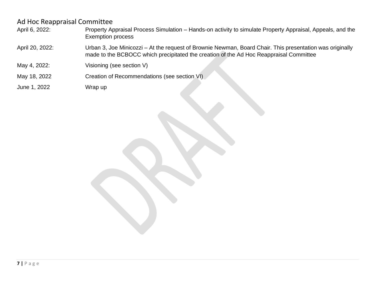- April 6, 2022: Property Appraisal Process Simulation Hands-on activity to simulate Property Appraisal, Appeals, and the Exemption process
- April 20, 2022: Urban 3, Joe Minicozzi At the request of Brownie Newman, Board Chair. This presentation was originally made to the BCBOCC which precipitated the creation of the Ad Hoc Reappraisal Committee
- May 4, 2022: Visioning (see section V)
- May 18, 2022 Creation of Recommendations (see section VI)
- June 1, 2022 Wrap up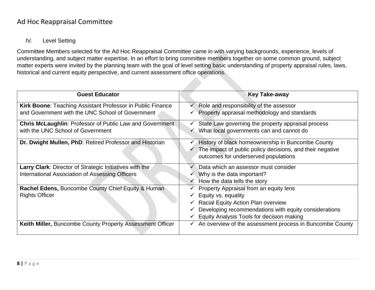#### IV. Level Setting

Committee Members selected for the Ad Hoc Reappraisal Committee came in with varying backgrounds, experience, levels of understanding, and subject matter expertise. In an effort to bring committee members together on some common ground, subject matter experts were invited by the planning team with the goal of level setting basic understanding of property appraisal rules, laws, historical and current equity perspective, and current assessment office operations.

| <b>Guest Educator</b>                                             | <b>Key Take-away</b>                                                  |
|-------------------------------------------------------------------|-----------------------------------------------------------------------|
| <b>Kirk Boone: Teaching Assistant Professor in Public Finance</b> | Role and responsibility of the assessor                               |
| and Government with the UNC School of Government                  | Property appraisal methodology and standards                          |
| <b>Chris McLaughlin: Professor of Public Law and Government</b>   | State Law governing the property appraisal process                    |
| with the UNC School of Government                                 | What local governments can and cannot do                              |
| Dr. Dwight Mullen, PhD: Retired Professor and Historian           | History of black homeownership in Buncombe County                     |
|                                                                   | The impact of public policy decisions, and their negative             |
|                                                                   | outcomes for underserved populations                                  |
| <b>Larry Clark:</b> Director of Strategic Initiatives with the    | Data which an assessor must consider                                  |
| International Association of Assessing Officers                   | $\checkmark$ Why is the data important?                               |
|                                                                   | How the data tells the story                                          |
| Rachel Edens, Buncombe County Chief Equity & Human                | Property Appraisal from an equity lens                                |
| <b>Rights Officer</b>                                             | Equity vs. equality                                                   |
|                                                                   | <b>Racial Equity Action Plan overview</b>                             |
|                                                                   | Developing recommendations with equity considerations                 |
|                                                                   | Equity Analysis Tools for decision making                             |
| Keith Miller, Buncombe County Property Assessment Officer         | $\checkmark$ An overview of the assessment process in Buncombe County |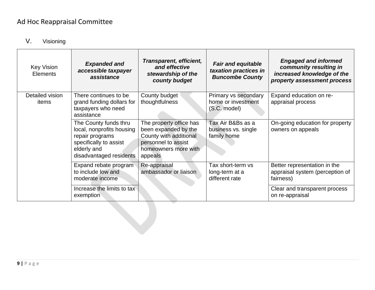## V. Visioning

| <b>Key Vision</b><br>Elements | <b>Expanded and</b><br>accessible taxpayer<br>assistance                                                                                  | Transparent, efficient,<br>and effective<br>stewardship of the<br>county budget                                                     | <b>Fair and equitable</b><br>taxation practices in<br><b>Buncombe County</b> | <b>Engaged and informed</b><br>community resulting in<br>increased knowledge of the<br>property assessment process |
|-------------------------------|-------------------------------------------------------------------------------------------------------------------------------------------|-------------------------------------------------------------------------------------------------------------------------------------|------------------------------------------------------------------------------|--------------------------------------------------------------------------------------------------------------------|
| Detailed vision<br>items      | There continues to be<br>grand funding dollars for<br>taxpayers who need<br>assistance                                                    | County budget<br>thoughtfulness                                                                                                     | Primary vs secondary<br>home or investment<br>(S.C. model)                   | Expand education on re-<br>appraisal process                                                                       |
|                               | The County funds thru<br>local, nonprofits housing<br>repair programs<br>specifically to assist<br>elderly and<br>disadvantaged residents | The property office has<br>been expanded by the<br>County with additional<br>personnel to assist<br>homeowners more with<br>appeals | Tax Air B&Bs as a<br>business vs. single<br>family home                      | On-going education for property<br>owners on appeals                                                               |
|                               | Expand rebate program<br>to include low and<br>moderate income                                                                            | Re-appraisal<br>ambassador or liaison                                                                                               | Tax short-term vs<br>long-term at a<br>different rate                        | Better representation in the<br>appraisal system (perception of<br>fairness)                                       |
|                               | Increase the limits to tax<br>exemption                                                                                                   |                                                                                                                                     |                                                                              | Clear and transparent process<br>on re-appraisal                                                                   |
|                               |                                                                                                                                           |                                                                                                                                     |                                                                              |                                                                                                                    |